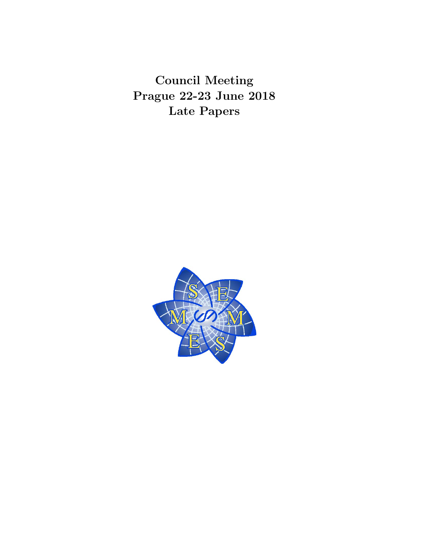Council Meeting Prague 22-23 June 2018 Late Papers

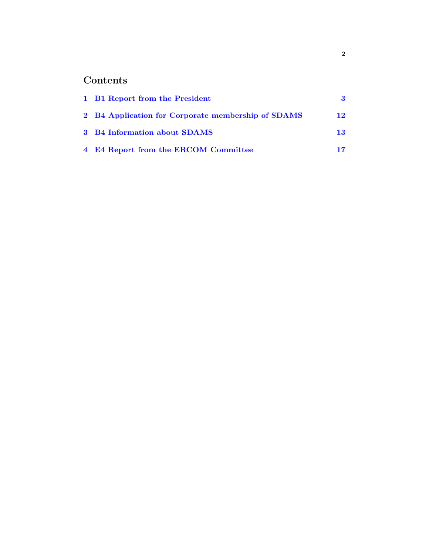# Contents

| 1 B1 Report from the President                     | 3  |
|----------------------------------------------------|----|
| 2 B4 Application for Corporate membership of SDAMS | 12 |
| 3 B4 Information about SDAMS                       | 13 |
| 4 E4 Report from the ERCOM Committee               | 17 |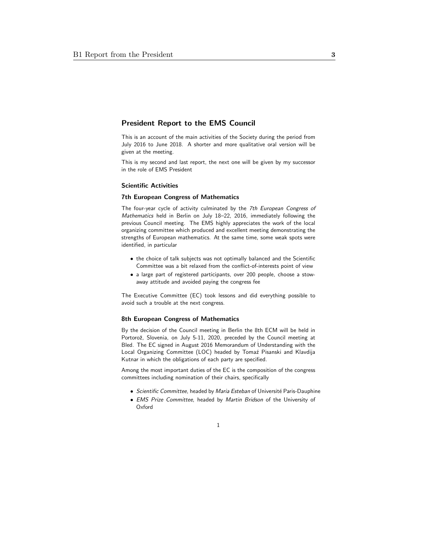# <span id="page-2-0"></span>President Report to the EMS Council

This is an account of the main activities of the Society during the period from July 2016 to June 2018. A shorter and more qualitative oral version will be given at the meeting.

This is my second and last report, the next one will be given by my successor in the role of EMS President

### Scientific Activities

### 7th European Congress of Mathematics

The four-year cycle of activity culminated by the 7th European Congress of Mathematics held in Berlin on July 18–22, 2016, immediately following the previous Council meeting. The EMS highly appreciates the work of the local organizing committee which produced and excellent meeting demonstrating the strengths of European mathematics. At the same time, some weak spots were identified, in particular

- the choice of talk subjects was not optimally balanced and the Scientific Committee was a bit relaxed from the conflict-of-interests point of view
- a large part of registered participants, over 200 people, choose a stowaway attitude and avoided paying the congress fee

The Executive Committee (EC) took lessons and did everything possible to avoid such a trouble at the next congress.

#### 8th European Congress of Mathematics

By the decision of the Council meeting in Berlin the 8th ECM will be held in Portorož, Slovenia, on July 5-11, 2020, preceded by the Council meeting at Bled. The EC signed in August 2016 Memorandum of Understanding with the Local Organizing Committee (LOC) headed by Tomaź Pisanski and Klavdija Kutnar in which the obligations of each party are specified.

Among the most important duties of the EC is the composition of the congress committees including nomination of their chairs, specifically

- Scientific Committee, headed by Maria Esteban of Université Paris-Dauphine
- EMS Prize Committee, headed by Martin Bridson of the University of Oxford

1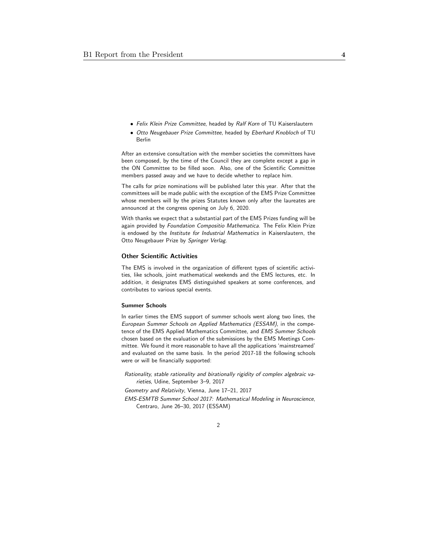- Felix Klein Prize Committee, headed by Ralf Korn of TU Kaiserslautern
- Otto Neugebauer Prize Committee, headed by Eberhard Knobloch of TU Berlin

After an extensive consultation with the member societies the committees have been composed, by the time of the Council they are complete except a gap in the ON Committee to be filled soon. Also, one of the Scientific Committee members passed away and we have to decide whether to replace him.

The calls for prize nominations will be published later this year. After that the committees will be made public with the exception of the EMS Prize Committee whose members will by the prizes Statutes known only after the laureates are announced at the congress opening on July 6, 2020.

With thanks we expect that a substantial part of the EMS Prizes funding will be again provided by Foundation Compositio Mathematica. The Felix Klein Prize is endowed by the *Institute for Industrial Mathematics* in Kaiserslautern, the Otto Neugebauer Prize by Springer Verlag.

#### Other Scientific Activities

The EMS is involved in the organization of different types of scientific activities, like schools, joint mathematical weekends and the EMS lectures, etc. In addition, it designates EMS distinguished speakers at some conferences, and contributes to various special events.

#### Summer Schools

In earlier times the EMS support of summer schools went along two lines, the European Summer Schools on Applied Mathematics (ESSAM), in the competence of the EMS Applied Mathematics Committee, and EMS Summer Schools chosen based on the evaluation of the submissions by the EMS Meetings Committee. We found it more reasonable to have all the applications 'mainstreamed' and evaluated on the same basis. In the period 2017-18 the following schools were or will be financially supported:

Rationality, stable rationality and birationally rigidity of complex algebraic varieties, Udine, September 3–9, 2017

Geometry and Relativity, Vienna, June 17–21, 2017

EMS-ESMTB Summer School 2017: Mathematical Modeling in Neuroscience, Centraro, June 26–30, 2017 (ESSAM)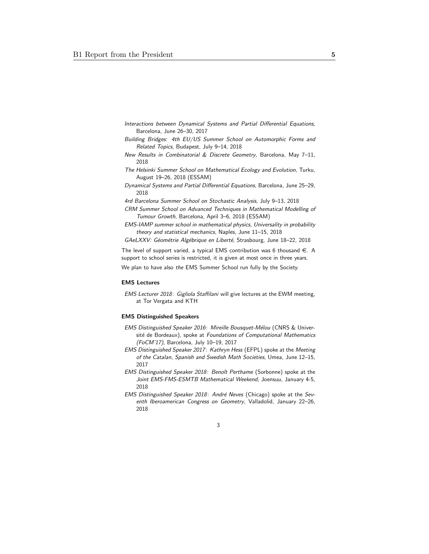- Interactions between Dynamical Systems and Partial Differential Equations, Barcelona, June 26–30, 2017
- Building Bridges: 4th EU/US Summer School on Automorphic Forms and Related Topics, Budapest, July 9–14, 2018
- New Results in Combinatorial & Discrete Geometry, Barcelona, May 7–11, 2018
- The Helsinki Summer School on Mathematical Ecology and Evolution, Turku, August 19–26, 2018 (ESSAM)
- Dynamical Systems and Partial Differential Equations, Barcelona, June 25–29, 2018
- 4rd Barcelona Summer School on Stochastic Analysis, July 9–13, 2018
- CRM Summer School on Advanced Techniques in Mathematical Modelling of Tumour Growth, Barcelona, April 3–6, 2018 (ESSAM)
- EMS-IAMP summer school in mathematical physics, Universality in probability theory and statistical mechanics, Naples, June 11–15, 2018
- GAeLXXV: Géométrie Algébrique en Liberté, Strasbourg, June 18–22, 2018

The level of support varied, a typical EMS contribution was 6 thousand  $\in$ . A support to school series is restricted, it is given at most once in three years. We plan to have also the EMS Summer School run fully by the Society.

### EMS Lectures

EMS Lecturer 2018: Gigliola Staffilani will give lectures at the EWM meeting, at Tor Vergata and KTH

### EMS Distinguished Speakers

- EMS Distinguished Speaker 2016: Mireille Bousquet-Mélou (CNRS & Université de Bordeaux), spoke at Foundations of Computational Mathematics (FoCM'17), Barcelona, July 10–19, 2017
- EMS Distinguished Speaker 2017: Kathryn Hess (EFPL) spoke at the Meeting of the Catalan, Spanish and Swedish Math Societies, Umea, June 12–15, 2017
- EMS Distinguished Speaker 2018: Benoît Perthame (Sorbonne) spoke at the Joint EMS-FMS-ESMTB Mathematical Weekend, Joensuu, January 4-5, 2018
- EMS Distinguished Speaker 2018: André Neves (Chicago) spoke at the Seventh Iberoamerican Congress on Geometry, Valladolid, January 22–26, 2018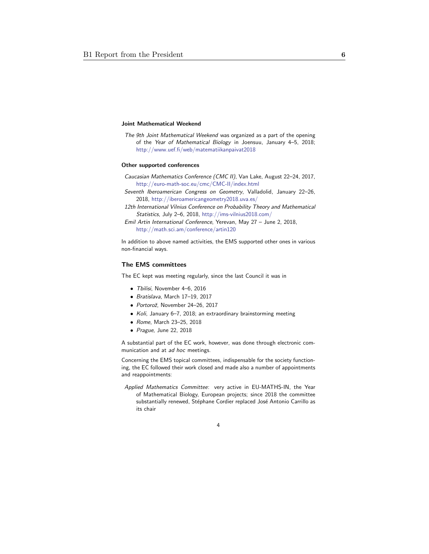### Joint Mathematical Weekend

The 9th Joint Mathematical Weekend was organized as a part of the opening of the Year of Mathematical Biology in Joensuu, January 4–5, 2018; http://www.uef.fi/web/matematiikanpaivat2018

#### Other supported conferences

- Caucasian Mathematics Conference (CMC II), Van Lake, August 22–24, 2017, http://euro-math-soc.eu/cmc/CMC-II/index.html
- Seventh Iberoamerican Congress on Geometry, Valladolid, January 22–26, 2018, http://iberoamericangeometry2018.uva.es/
- 12th International Vilnius Conference on Probability Theory and Mathematical Statistics, July 2–6, 2018, http://ims-vilnius2018.com/
- Emil Artin International Conference, Yerevan, May 27 June 2, 2018, http://math.sci.am/conference/artin120

In addition to above named activities, the EMS supported other ones in various non-financial ways.

### The EMS committees

The EC kept was meeting regularly, since the last Council it was in

- Tbilisi, November 4–6, 2016
- Bratislava, March 17–19, 2017
- Portorož, November 24-26, 2017
- Koli, January 6–7, 2018; an extraordinary brainstorming meeting
- Rome, March 23–25, 2018
- Prague, June 22, 2018

A substantial part of the EC work, however, was done through electronic communication and at ad hoc meetings.

Concerning the EMS topical committees, indispensable for the society functioning, the EC followed their work closed and made also a number of appointments and reappointments:

Applied Mathematics Committee: very active in EU-MATHS-IN, the Year of Mathematical Biology, European projects; since 2018 the committee substantially renewed, Stéphane Cordier replaced José Antonio Carrillo as its chair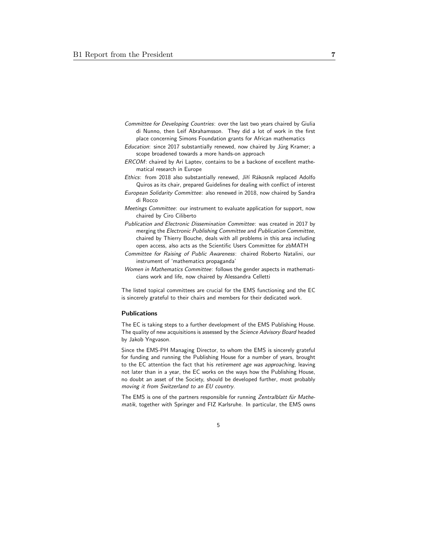- Committee for Developing Countries: over the last two years chaired by Giulia di Nunno, then Leif Abrahamsson. They did a lot of work in the first place concerning Simons Foundation grants for African mathematics
- Education: since 2017 substantially renewed, now chaired by Jürg Kramer; a scope broadened towards a more hands-on approach
- ERCOM: chaired by Ari Laptev, contains to be a backone of excellent mathematical research in Europe
- Ethics: from 2018 also substantially renewed, Jiří Rákosník replaced Adolfo Quiros as its chair, prepared Guidelines for dealing with conflict of interest
- European Solidarity Committee: also renewed in 2018, now chaired by Sandra di Rocco
- Meetings Committee: our instrument to evaluate application for support, now chaired by Ciro Ciliberto
- Publication and Electronic Dissemination Committee: was created in 2017 by merging the Electronic Publishing Committee and Publication Committee, chaired by Thierry Bouche, deals with all problems in this area including open access, also acts as the Scientific Users Committee for zbMATH
- Committee for Raising of Public Awareness: chaired Roberto Natalini, our instrument of 'mathematics propaganda'
- Women in Mathematics Committee: follows the gender aspects in mathematicians work and life, now chaired by Alessandra Celletti

The listed topical committees are crucial for the EMS functioning and the EC is sincerely grateful to their chairs and members for their dedicated work.

#### Publications

The EC is taking steps to a further development of the EMS Publishing House. The quality of new acquisitions is assessed by the Science Advisory Board headed by Jakob Yngvason.

Since the EMS-PH Managing Director, to whom the EMS is sincerely grateful for funding and running the Publishing House for a number of years, brought to the EC attention the fact that his retirement age was approaching, leaving not later than in a year, the EC works on the ways how the Publishing House, no doubt an asset of the Society, should be developed further, most probably moving it from Switzerland to an EU country.

The EMS is one of the partners responsible for running Zentralblatt für Mathematik, together with Springer and FIZ Karlsruhe. In particular, the EMS owns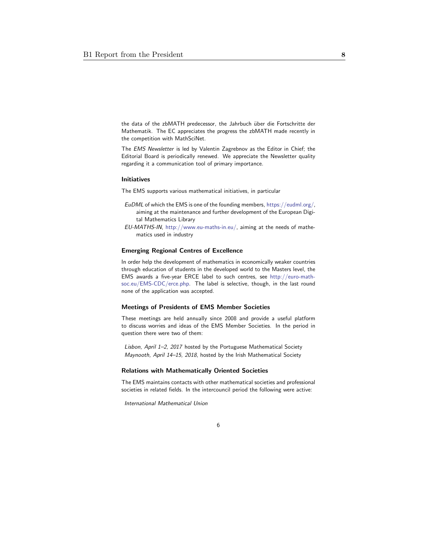the data of the zbMATH predecessor, the Jahrbuch über die Fortschritte der Mathematik. The EC appreciates the progress the zbMATH made recently in the competition with MathSciNet.

The EMS Newsletter is led by Valentin Zagrebnov as the Editor in Chief; the Editorial Board is periodically renewed. We appreciate the Newsletter quality regarding it a communication tool of primary importance.

#### Initiatives

The EMS supports various mathematical initiatives, in particular

- EuDML of which the EMS is one of the founding members, https://eudml.org/, aiming at the maintenance and further development of the European Digital Mathematics Library
- EU-MATHS-IN, http://www.eu-maths-in.eu/, aiming at the needs of mathematics used in industry

#### Emerging Regional Centres of Excellence

In order help the development of mathematics in economically weaker countries through education of students in the developed world to the Masters level, the EMS awards a five-year ERCE label to such centres, see http://euro-mathsoc.eu/EMS-CDC/erce.php. The label is selective, though, in the last round none of the application was accepted.

### Meetings of Presidents of EMS Member Societies

These meetings are held annually since 2008 and provide a useful platform to discuss worries and ideas of the EMS Member Societies. In the period in question there were two of them:

Lisbon, April 1-2, 2017 hosted by the Portuguese Mathematical Society Maynooth, April 14–15, 2018, hosted by the Irish Mathematical Society

#### Relations with Mathematically Oriented Societies

The EMS maintains contacts with other mathematical societies and professional societies in related fields. In the intercouncil period the following were active:

6

International Mathematical Union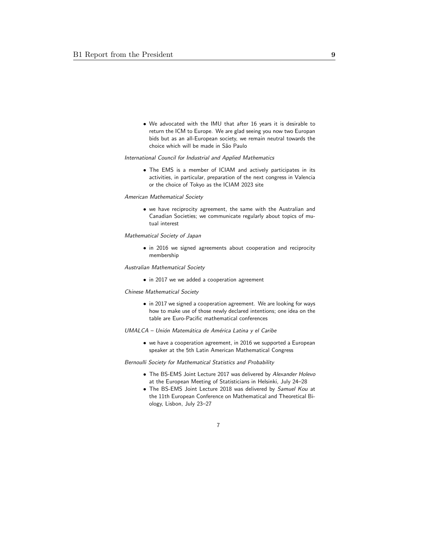• We advocated with the IMU that after 16 years it is desirable to return the ICM to Europe. We are glad seeing you now two Europan bids but as an all-European society, we remain neutral towards the choice which will be made in São Paulo

# International Council for Industrial and Applied Mathematics

• The EMS is a member of ICIAM and actively participates in its activities, in particular, preparation of the next congress in Valencia or the choice of Tokyo as the ICIAM 2023 site

#### American Mathematical Society

• we have reciprocity agreement, the same with the Australian and Canadian Societies; we communicate regularly about topics of mutual interest

#### Mathematical Society of Japan

• in 2016 we signed agreements about cooperation and reciprocity membership

#### Australian Mathematical Society

• in 2017 we we added a cooperation agreement

### Chinese Mathematical Society

- in 2017 we signed a cooperation agreement. We are looking for ways how to make use of those newly declared intentions; one idea on the table are Euro-Pacific mathematical conferences
- UMALCA Unión Matemática de América Latina y el Caribe
	- we have a cooperation agreement, in 2016 we supported a European speaker at the 5th Latin American Mathematical Congress

### Bernoulli Society for Mathematical Statistics and Probability

- The BS-EMS Joint Lecture 2017 was delivered by Alexander Holevo at the European Meeting of Statisticians in Helsinki, July 24–28
- The BS-EMS Joint Lecture 2018 was delivered by Samuel Kou at the 11th European Conference on Mathematical and Theoretical Biology, Lisbon, July 23–27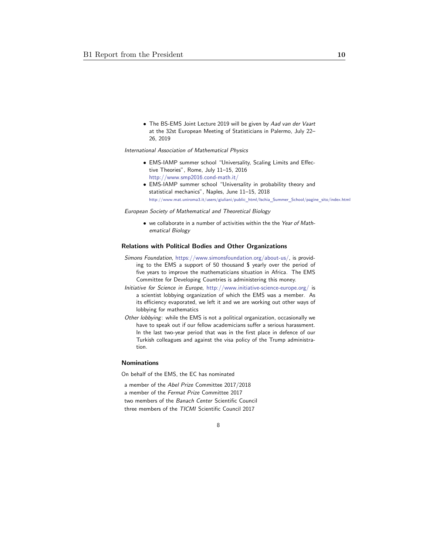• The BS-EMS Joint Lecture 2019 will be given by Aad van der Vaart at the 32st European Meeting of Statisticians in Palermo, July 22– 26, 2019

International Association of Mathematical Physics

- EMS-IAMP summer school "Universality, Scaling Limits and Effective Theories", Rome, July 11–15, 2016 http://www.smp2016.cond-math.it/
- EMS-IAMP summer school "Universality in probability theory and statistical mechanics", Naples, June 11–15, 2018 http://www.mat.uniroma3.it/users/giuliani/public\_html/Ischia\_Summer\_School/pagine\_sito/index.html

European Society of Mathematical and Theoretical Biology

• we collaborate in a number of activities within the the Year of Mathematical Biology

### Relations with Political Bodies and Other Organizations

- Simons Foundation, https://www.simonsfoundation.org/about-us/, is providing to the EMS a support of 50 thousand \$ yearly over the period of five years to improve the mathematicians situation in Africa. The EMS Committee for Developing Countries is administering this money.
- Initiative for Science in Europe, http://www.initiative-science-europe.org/ is a scientist lobbying organization of which the EMS was a member. As its efficiency evaporated, we left it and we are working out other ways of lobbying for mathematics
- Other lobbying: while the EMS is not a political organization, occasionally we have to speak out if our fellow academicians suffer a serious harassment. In the last two-year period that was in the first place in defence of our Turkish colleagues and against the visa policy of the Trump administration.

#### Nominations

On behalf of the EMS, the EC has nominated

a member of the Abel Prize Committee 2017/2018 a member of the Fermat Prize Committee 2017 two members of the Banach Center Scientific Council three members of the TICMI Scientific Council 2017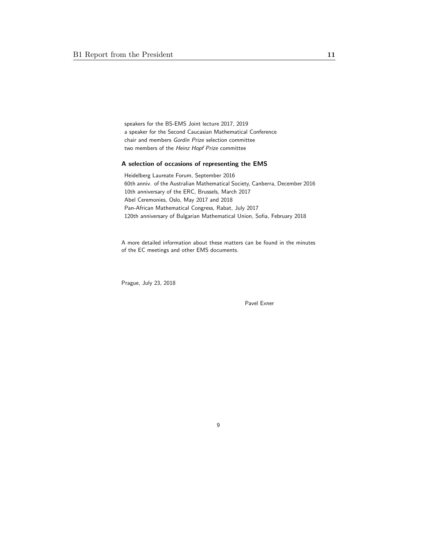speakers for the BS-EMS Joint lecture 2017, 2019 a speaker for the Second Caucasian Mathematical Conference chair and members Gordin Prize selection committee two members of the Heinz Hopf Prize committee

### A selection of occasions of representing the EMS

Heidelberg Laureate Forum, September 2016 60th anniv. of the Australian Mathematical Society, Canberra, December 2016 10th anniversary of the ERC, Brussels, March 2017 Abel Ceremonies, Oslo, May 2017 and 2018 Pan-African Mathematical Congress, Rabat, July 2017 120th anniversary of Bulgarian Mathematical Union, Sofia, February 2018

A more detailed information about these matters can be found in the minutes of the EC meetings and other EMS documents.

Prague, July 23, 2018

Pavel Exner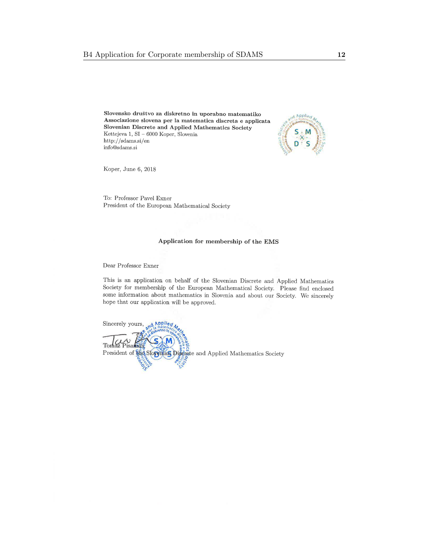<span id="page-11-0"></span>Slovensko društvo za diskretno in uporabno matematiko Associazione slovena per la matematica discreta e applicata Slovenian Discrete and Applied Mathematics Society Kettejeva 1, SI –  $6000$  Koper, Slovenia  $http://sdams.si/en$  $\operatorname{info}@{\rm sdams.si}$ 



Koper, June 6, 2018

To: Professor Pavel Exner President of the European Mathematical Society

### Application for membership of the EMS

Dear Professor Exner

This is an application on behalf of the Slovenian Discrete and Applied Mathematics Society for membership of the European Mathematical Society. Please find enclosed some information about mathematics in Slovenia and about our Society. We sincerely hope that our application will be approved.

Sincerely yours, Applied Tomaz President of the Slopenian Disemete and Applied Mathematics Society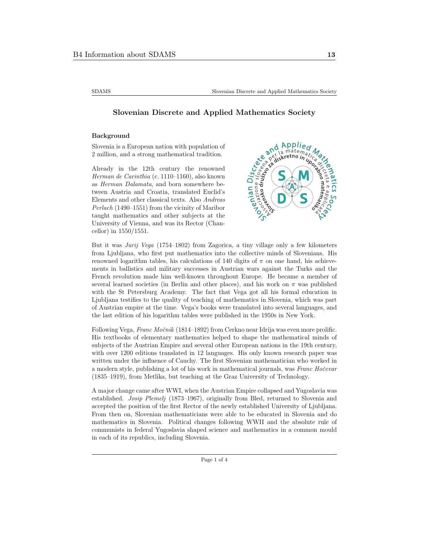<span id="page-12-0"></span>

# Slovenian Discrete and Applied Mathematics Society

### Background

Slovenia is a European nation with population of 2 million, and a strong mathematical tradition.

Already in the 12th century the renowned Herman de Carinthia (c. 1110–1160), also known as Herman Dalamata, and born somewhere between Austria and Croatia, translated Euclid's Elements and other classical texts. Also Andreas Perlach (1490–1551) from the vicinity of Maribor taught mathematics and other subjects at the University of Vienna, and was its Rector (Chancellor) in 1550/1551.



But it was Jurij Vega (1754–1802) from Zagorica, a tiny village only a few kilometers from Ljubljana, who first put mathematics into the collective minds of Slovenians. His renowned logarithm tables, his calculations of 140 digits of  $\pi$  on one hand, his achievements in ballistics and military successes in Austrian wars against the Turks and the French revolution made him well-known throughout Europe. He became a member of several learned societies (in Berlin and other places), and his work on  $\pi$  was published with the St Petersburg Academy. The fact that Vega got all his formal education in Ljubljana testifies to the quality of teaching of mathematics in Slovenia, which was part of Austrian empire at the time. Vega's books were translated into several languages, and the last edition of his logarithm tables were published in the 1950s in New York.

Following Vega, Franc Močnik (1814–1892) from Cerkno near Idrija was even more prolific. His textbooks of elementary mathematics helped to shape the mathematical minds of subjects of the Austrian Empire and several other European nations in the 19th century, with over 1200 editions translated in 12 languages. His only known research paper was written under the influence of Cauchy. The first Slovenian mathematician who worked in a modern style, publishing a lot of his work in mathematical journals, was Franc Hočevar (1835–1919), from Metlika, but teaching at the Graz University of Technology.

A major change came after WWI, when the Austrian Empire collapsed and Yugoslavia was established. Josip Plemelj (1873–1967), originally from Bled, returned to Slovenia and accepted the position of the first Rector of the newly established University of Ljubljana. From then on, Slovenian mathematicians were able to be educated in Slovenia and do mathematics in Slovenia. Political changes following WWII and the absolute rule of communists in federal Yugoslavia shaped science and mathematics in a common mould in each of its republics, including Slovenia.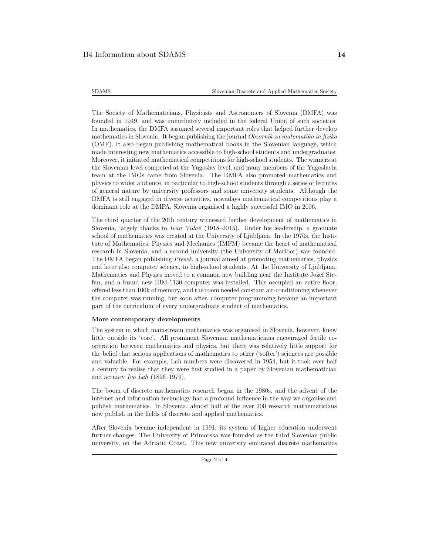The Society of Mathematicians, Physicists and Astronomers of Slovenia (DMFA) was founded in 1949, and was immediately included in the federal Union of such societies. In mathematics, the DMFA assumed several important roles that helped further develop mathematics in Slovenia. It began publishing the journal Obzornik za matematiko in fiziko (OMF). It also began publishing mathematical books in the Slovenian language, which made interesting new mathematics accessible to high-school students and undergraduates. Moreover, it initiated mathematical competitions for high-school students. The winners at the Slovenian level competed at the Yugoslav level, and many members of the Yugoslavia team at the IMOs came from Slovenia. The DMFA also promoted mathematics and physics to wider audience, in particular to high-school students through a series of lectures of general nature by university professors and some university students. Although the DMFA is still engaged in diverse activities, nowadays mathematical competitions play a dominant role at the DMFA. Slovenia organised a highly successful IMO in 2006.

The third quarter of the 20th century witnessed further development of mathematics in Slovenia, largely thanks to Ivan Vidav (1918–2015). Under his leadership, a graduate school of mathematics was created at the University of Ljubljana. In the 1970s, the Institute of Mathematics, Physics and Mechanics (IMFM) became the heart of mathematical research in Slovenia, and a second university (the University of Maribor) was founded. The DMFA began publishing Presek, a journal aimed at promoting mathematics, physics and later also computer science, to high-school students. At the University of Ljubljana, Mathematics and Physics moved to a common new building near the Institute Jožef Stefan, and a brand new IBM-1130 computer was installed. This occupied an entire floor, offered less than 100k of memory, and the room needed constant air-conditioning whenever the computer was running; but soon after, computer programming became an important part of the curriculum of every undergraduate student of mathematics.

#### More contemporary developments

The system in which mainstream mathematics was organised in Slovenia, however, knew little outside its 'core'. All prominent Slovenian mathematicians encouraged fertile cooperation between mathematics and physics, but there was relatively little support for the belief that serious applications of mathematics to other ('softer') sciences are possible and valuable. For example, Lah numbers were discovered in 1954, but it took over half a century to realise that they were first studied in a paper by Slovenian mathematician and actuary Ivo Lah (1896–1979).

The boom of discrete mathematics research began in the 1980s, and the advent of the internet and information technology had a profound influence in the way we organise and publish mathematics. In Slovenia, almost half of the over 200 research mathematicians now publish in the fields of discrete and applied mathematics.

After Slovenia became independent in 1991, its system of higher education underwent further changes. The University of Primorska was founded as the third Slovenian public university, on the Adriatic Coast. This new university embraced discrete mathematics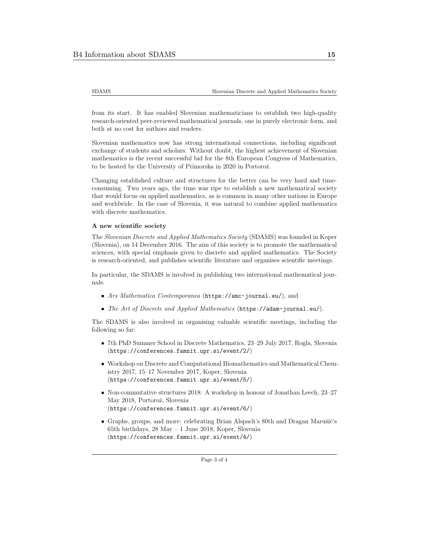SDAMS Slovenian Discrete and Applied Mathematics Society

from its start. It has enabled Slovenian mathematicians to establish two high-quality research-oriented peer-reviewed mathematical journals, one in purely electronic form, and both at no cost for authors and readers.

Slovenian mathematics now has strong international connections, including significant exchange of students and scholars. Without doubt, the highest achievement of Slovenian mathematics is the recent successful bid for the 8th European Congress of Mathematics, to be hosted by the University of Primorska in 2020 in Portorož.

Changing established culture and structures for the better can be very hard and timeconsuming. Two years ago, the time was ripe to establish a new mathematical society that would focus on applied mathematics, as is common in many other nations in Europe and worldwide. In the case of Slovenia, it was natural to combine applied mathematics with discrete mathematics.

### A new scientific society

The Slovenian Discrete and Applied Mathematics Society (SDAMS) was founded in Koper (Slovenia), on 14 December 2016. The aim of this society is to promote the mathematical sciences, with special emphasis given to discrete and applied mathematics. The Society is research-oriented, and publishes scientific literature and organises scientific meetings.

In particular, the SDAMS is involved in publishing two international mathematical journals:

- Ars Mathematica Contemporanea (https://amc-journal.eu/), and
- The Art of Discrete and Applied Mathematics (https://adam-journal.eu/).

The SDAMS is also involved in organising valuable scientific meetings, including the following so far:

- 7th PhD Summer School in Discrete Mathematics, 23–29 July 2017, Rogla, Slovenia (https://conferences.famnit.upr.si/event/2/)
- Workshop on Discrete and Computational Biomathematics and Mathematical Chemistry 2017, 15–17 November 2017, Koper, Slovenia (https://conferences.famnit.upr.si/event/5/)
- Non-commutative structures 2018: A workshop in honour of Jonathan Leech, 23–27 May 2018, Portorož, Slovenia (https://conferences.famnit.upr.si/event/6/)
- Graphs, groups, and more: celebrating Brian Alspach's 80th and Dragan Marušič's 65th birthdays, 28 May – 1 June 2018, Koper, Slovenia (https://conferences.famnit.upr.si/event/4/)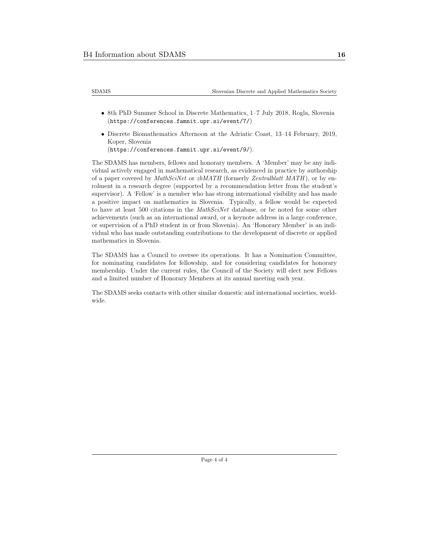| <b>SDAMS</b> | Slovenian Discrete and Applied Mathematics Society |
|--------------|----------------------------------------------------|
|--------------|----------------------------------------------------|

- 8th PhD Summer School in Discrete Mathematics, 1–7 July 2018, Rogla, Slovenia (https://conferences.famnit.upr.si/event/7/)
- Discrete Biomathematics Afternoon at the Adriatic Coast, 13–14 February, 2019, Koper, Slovenia (https://conferences.famnit.upr.si/event/9/).

The SDAMS has members, fellows and honorary members. A 'Member' may be any individual actively engaged in mathematical research, as evidenced in practice by authorship of a paper covered by MathSciNet or  $zbMATH$  (formerly Zentralblatt MATH), or by enrolment in a research degree (supported by a recommendation letter from the student's supervisor). A 'Fellow' is a member who has strong international visibility and has made a positive impact on mathematics in Slovenia. Typically, a fellow would be expected to have at least 500 citations in the MathSciNet database, or be noted for some other achievements (such as an international award, or a keynote address in a large conference, or supervision of a PhD student in or from Slovenia). An 'Honorary Member' is an individual who has made outstanding contributions to the development of discrete or applied mathematics in Slovenia.

The SDAMS has a Council to oversee its operations. It has a Nomination Committee, for nominating candidates for fellowship, and for considering candidates for honorary membership. Under the current rules, the Council of the Society will elect new Fellows and a limited number of Honorary Members at its annual meeting each year.

The SDAMS seeks contacts with other similar domestic and international societies, worldwide.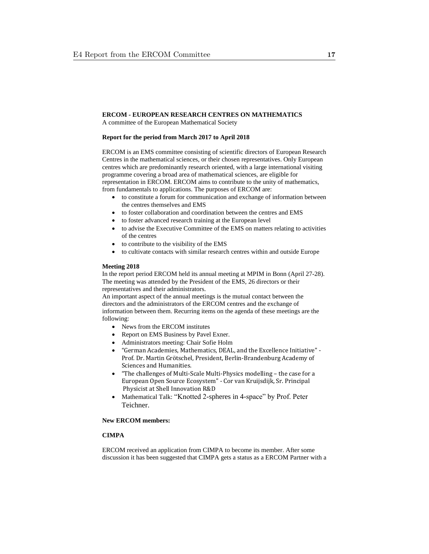# <span id="page-16-0"></span>**ERCOM - EUROPEAN RESEARCH CENTRES ON MATHEMATICS**

A committee of the European Mathematical Society

### **Report for the period from March 2017 to April 2018**

ERCOM is an EMS committee consisting of scientific directors of European Research Centres in the mathematical sciences, or their chosen representatives. Only European centres which are predominantly research oriented, with a large international visiting programme covering a broad area of mathematical sciences, are eligible for representation in ERCOM. ERCOM aims to contribute to the unity of mathematics, from fundamentals to applications. The purposes of ERCOM are:

- to constitute a forum for communication and exchange of information between the centres themselves and EMS
- to foster collaboration and coordination between the centres and EMS
- to foster advanced research training at the European level
- to advise the Executive Committee of the EMS on matters relating to activities of the centres
- to contribute to the visibility of the EMS
- to cultivate contacts with similar research centres within and outside Europe

### **Meeting 2018**

In the report period ERCOM held its annual meeting at MPIM in Bonn (April 27-28). The meeting was attended by the President of the EMS, 26 directors or their representatives and their administrators.

An important aspect of the annual meetings is the mutual contact between the directors and the administrators of the ERCOM centres and the exchange of information between them. Recurring items on the agenda of these meetings are the following:

- News from the ERCOM institutes
- Report on EMS Business by Pavel Exner.
- Administrators meeting: Chair Sofie Holm
- "German Academies, Mathematics, DEAL, and the Excellence Initiative" Prof. Dr. Martin Grötschel, President, Berlin-Brandenburg Academy of Sciences and Humanities.
- "The challenges of Multi-Scale Multi-Physics modelling the case for a European Open Source Ecosystem" - Cor van Kruijsdijk, Sr. Principal Physicist at Shell Innovation R&D
- Mathematical Talk: "Knotted 2-spheres in 4-space" by Prof. Peter Teichner.

# **New ERCOM members:**

# **CIMPA**

ERCOM received an application from CIMPA to become its member. After some discussion it has been suggested that CIMPA gets a status as a ERCOM Partner with a